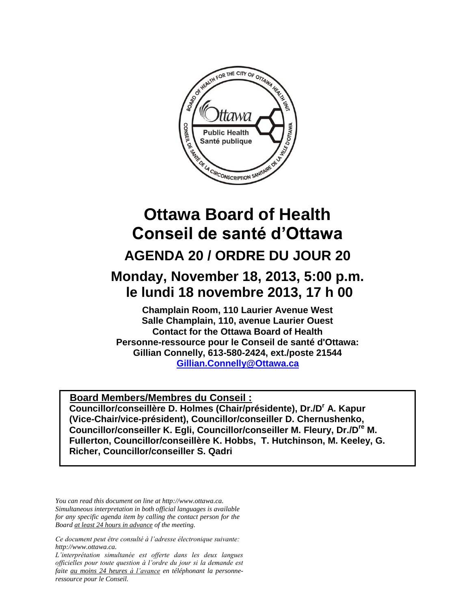

# **Ottawa Board of Health Conseil de santé d'Ottawa AGENDA 20 / ORDRE DU JOUR 20**

## **Monday, November 18, 2013, 5:00 p.m. le lundi 18 novembre 2013, 17 h 00**

**Champlain Room, 110 Laurier Avenue West Salle Champlain, 110, avenue Laurier Ouest Contact for the Ottawa Board of Health Personne-ressource pour le Conseil de santé d'Ottawa: Gillian Connelly, 613-580-2424, ext./poste 21544 [Gillian.Connelly@Ottawa.ca](mailto:Gillian.Connelly@Ottawa.ca)** 

<sup>U</sup>**Board Members/Membres du Conseil : Councillor/conseillère D. Holmes (Chair/présidente), Dr./D<sup>r</sup> A. Kapur (Vice-Chair/vice-président), Councillor/conseiller D. Chernushenko, Councillor/conseiller K. Egli, Councillor/conseiller M. Fleury, Dr./Dre M. Fullerton, Councillor/conseillère K. Hobbs, T. Hutchinson, M. Keeley, G. Richer, Councillor/conseiller S. Qadri**

*You can read this document on line at http://www.ottawa.ca. Simultaneous interpretation in both official languages is available for any specific agenda item by calling the contact person for the Board at least 24 hours in advance of the meeting.*

*Ce document peut être consulté à l'adresse électronique suivante: http://www.ottawa.ca.*

*L'interprétation simultanée est offerte dans les deux langues officielles pour toute question à l'ordre du jour si la demande est faite au moins 24 heures à l'avance en téléphonant la personneressource pour le Conseil.*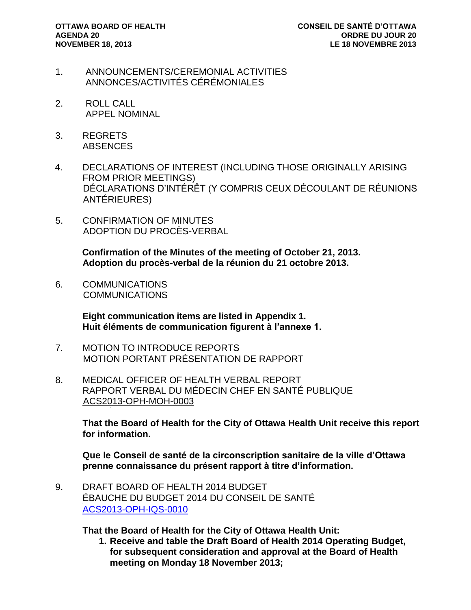- 1. ANNOUNCEMENTS/CEREMONIAL ACTIVITIES ANNONCES/ACTIVITÉS CÉRÉMONIALES
- 2. ROLL CALL APPEL NOMINAL
- 3. REGRETS **ABSENCES**
- 4. DECLARATIONS OF INTEREST (INCLUDING THOSE ORIGINALLY ARISING FROM PRIOR MEETINGS) DÉCLARATIONS D'INTÉRÊT (Y COMPRIS CEUX DÉCOULANT DE RÉUNIONS ANTÉRIEURES)
- 5. CONFIRMATION OF MINUTES ADOPTION DU PROCÈS-VERBAL

**Confirmation of the Minutes of the meeting of October 21, 2013. Adoption du procès-verbal de la réunion du 21 octobre 2013.** 

6. COMMUNICATIONS COMMUNICATIONS

> **Eight communication items are listed in Appendix 1. Huit éléments de communication figurent à l'annexe 1.**

- 7. MOTION TO INTRODUCE REPORTS MOTION PORTANT PRÉSENTATION DE RAPPORT
- 8. MEDICAL OFFICER OF HEALTH VERBAL REPORT RAPPORT VERBAL DU MÉDECIN CHEF EN SANTÉ PUBLIQUE ACS2013-OPH-MOH-0003

**That the Board of Health for the City of Ottawa Health Unit receive this report for information.** 

**Que le Conseil de santé de la circonscription sanitaire de la ville d'Ottawa prenne connaissance du présent rapport à titre d'information.**

9. DRAFT BOARD OF HEALTH 2014 BUDGET ÉBAUCHE DU BUDGET 2014 DU CONSEIL DE SANTÉ [ACS2013-OPH-IQS-0010](http://ottawa.ca/calendar/ottawa/citycouncil/obh/2013/11-18/Budget%20Report.pdf)

**That the Board of Health for the City of Ottawa Health Unit:** 

**1. Receive and table the Draft Board of Health 2014 Operating Budget, for subsequent consideration and approval at the Board of Health meeting on Monday 18 November 2013;**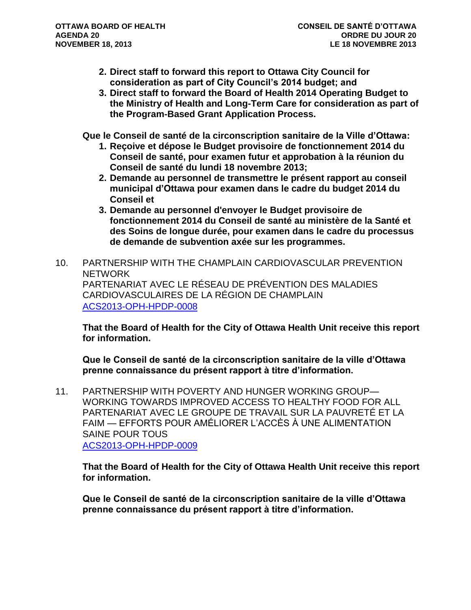- **2. Direct staff to forward this report to Ottawa City Council for consideration as part of City Council's 2014 budget; and**
- **3. Direct staff to forward the Board of Health 2014 Operating Budget to the Ministry of Health and Long-Term Care for consideration as part of the Program-Based Grant Application Process.**

**Que le Conseil de santé de la circonscription sanitaire de la Ville d'Ottawa:** 

- **1. Reçoive et dépose le Budget provisoire de fonctionnement 2014 du Conseil de santé, pour examen futur et approbation à la réunion du Conseil de santé du lundi 18 novembre 2013;**
- **2. Demande au personnel de transmettre le présent rapport au conseil municipal d'Ottawa pour examen dans le cadre du budget 2014 du Conseil et**
- **3. Demande au personnel d'envoyer le Budget provisoire de fonctionnement 2014 du Conseil de santé au ministère de la Santé et des Soins de longue durée, pour examen dans le cadre du processus de demande de subvention axée sur les programmes.**
- 10. PARTNERSHIP WITH THE CHAMPLAIN CARDIOVASCULAR PREVENTION NETWORK PARTENARIAT AVEC LE RÉSEAU DE PRÉVENTION DES MALADIES CARDIOVASCULAIRES DE LA RÉGION DE CHAMPLAIN [ACS2013-OPH-HPDP-0008](http://ottawa.ca/calendar/ottawa/citycouncil/obh/2013/11-18/Report%20-%20Champlain%20Cardiovascular%20Prevention%20Network.pdf)

**That the Board of Health for the City of Ottawa Health Unit receive this report for information.**

**Que le Conseil de santé de la circonscription sanitaire de la ville d'Ottawa prenne connaissance du présent rapport à titre d'information.**

11. PARTNERSHIP WITH POVERTY AND HUNGER WORKING GROUP— WORKING TOWARDS IMPROVED ACCESS TO HEALTHY FOOD FOR ALL PARTENARIAT AVEC LE GROUPE DE TRAVAIL SUR LA PAUVRETÉ ET LA FAIM — EFFORTS POUR AMÉLIORER L'ACCÈS À UNE ALIMENTATION SAINE POUR TOUS [ACS2013-OPH-HPDP-0009](http://ottawa.ca/calendar/ottawa/citycouncil/obh/2013/11-18/Report%20-%20Partnership%20with%20Poverty%20and%20Hunger%20Working%20group.pdf)

**That the Board of Health for the City of Ottawa Health Unit receive this report for information.**

**Que le Conseil de santé de la circonscription sanitaire de la ville d'Ottawa prenne connaissance du présent rapport à titre d'information.**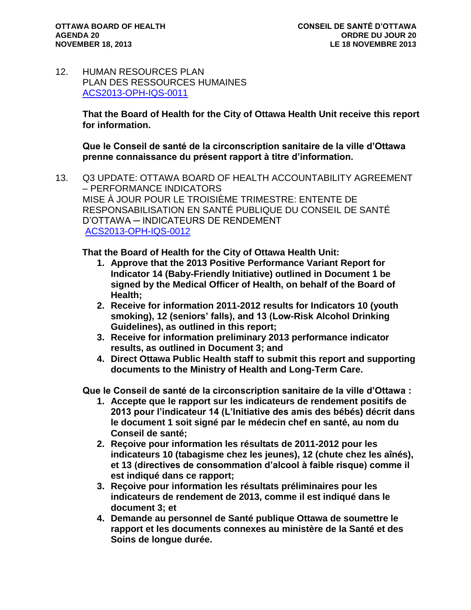12. HUMAN RESOURCES PLAN PLAN DES RESSOURCES HUMAINES [ACS2013-OPH-IQS-0011](http://ottawa.ca/calendar/ottawa/citycouncil/obh/2013/11-18/Report%20-%20HR.pdf)

> **That the Board of Health for the City of Ottawa Health Unit receive this report for information.**

**Que le Conseil de santé de la circonscription sanitaire de la ville d'Ottawa prenne connaissance du présent rapport à titre d'information.**

13. Q3 UPDATE: OTTAWA BOARD OF HEALTH ACCOUNTABILITY AGREEMENT – PERFORMANCE INDICATORS MISE À JOUR POUR LE TROISIÈME TRIMESTRE: ENTENTE DE RESPONSABILISATION EN SANTÉ PUBLIQUE DU CONSEIL DE SANTÉ D'OTTAWA ─ INDICATEURS DE RENDEMENT [ACS2013-OPH-IQS-0012](http://ottawa.ca/calendar/ottawa/citycouncil/obh/2013/11-18/Report%20-%20Q3%20Update%20Accountability%20Agreement.pdf)

**That the Board of Health for the City of Ottawa Health Unit:**

- **1. Approve that the 2013 Positive Performance Variant Report for Indicator 14 (Baby-Friendly Initiative) outlined in Document 1 be signed by the Medical Officer of Health, on behalf of the Board of Health;**
- **2. Receive for information 2011-2012 results for Indicators 10 (youth smoking), 12 (seniors' falls), and 13 (Low-Risk Alcohol Drinking Guidelines), as outlined in this report;**
- **3. Receive for information preliminary 2013 performance indicator results, as outlined in Document 3; and**
- **4. Direct Ottawa Public Health staff to submit this report and supporting documents to the Ministry of Health and Long-Term Care.**

**Que le Conseil de santé de la circonscription sanitaire de la ville d'Ottawa :**

- **1. Accepte que le rapport sur les indicateurs de rendement positifs de 2013 pour l'indicateur 14 (L'Initiative des amis des bébés) décrit dans le document 1 soit signé par le médecin chef en santé, au nom du Conseil de santé;**
- **2. Reçoive pour information les résultats de 2011-2012 pour les indicateurs 10 (tabagisme chez les jeunes), 12 (chute chez les aînés), et 13 (directives de consommation d'alcool à faible risque) comme il est indiqué dans ce rapport;**
- **3. Reçoive pour information les résultats préliminaires pour les indicateurs de rendement de 2013, comme il est indiqué dans le document 3; et**
- **4. Demande au personnel de Santé publique Ottawa de soumettre le rapport et les documents connexes au ministère de la Santé et des Soins de longue durée.**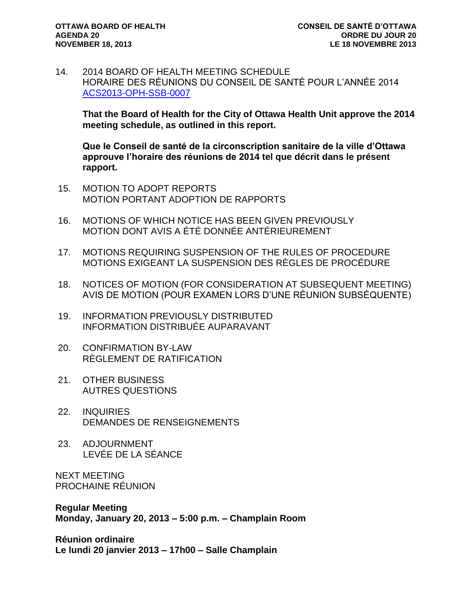14. 2014 BOARD OF HEALTH MEETING SCHEDULE HORAIRE DES RÉUNIONS DU CONSEIL DE SANTÉ POUR L'ANNÉE 2014 [ACS2013-OPH-SSB-0007](http://ottawa.ca/calendar/ottawa/citycouncil/obh/2013/11-18/Report%20-%202014%20Meeting%20Schedule.pdf)

**That the Board of Health for the City of Ottawa Health Unit approve the 2014 meeting schedule, as outlined in this report.** 

**Que le Conseil de santé de la circonscription sanitaire de la ville d'Ottawa approuve l'horaire des réunions de 2014 tel que décrit dans le présent rapport.**

- 15. MOTION TO ADOPT REPORTS MOTION PORTANT ADOPTION DE RAPPORTS
- 16. MOTIONS OF WHICH NOTICE HAS BEEN GIVEN PREVIOUSLY MOTION DONT AVIS A ÉTÉ DONNÉE ANTÉRIEUREMENT
- 17. MOTIONS REQUIRING SUSPENSION OF THE RULES OF PROCEDURE MOTIONS EXIGEANT LA SUSPENSION DES RÈGLES DE PROCÉDURE
- 18. NOTICES OF MOTION (FOR CONSIDERATION AT SUBSEQUENT MEETING) AVIS DE MOTION (POUR EXAMEN LORS D'UNE RÉUNION SUBSÉQUENTE)
- 19. INFORMATION PREVIOUSLY DISTRIBUTED INFORMATION DISTRIBUÉE AUPARAVANT
- 20. CONFIRMATION BY-LAW RÈGLEMENT DE RATIFICATION
- 21. OTHER BUSINESS AUTRES QUESTIONS
- 22. INQUIRIES DEMANDES DE RENSEIGNEMENTS
- 23. ADJOURNMENT LEVÉE DE LA SÉANCE

NEXT MEETING PROCHAINE RÉUNION

**Regular Meeting Monday, January 20, 2013 – 5:00 p.m. – Champlain Room**

**Réunion ordinaire Le lundi 20 janvier 2013 – 17h00 – Salle Champlain**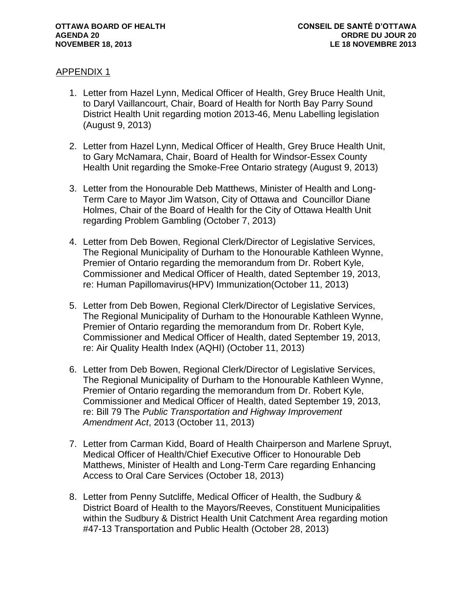### APPENDIX 1

- 1. Letter from Hazel Lynn, Medical Officer of Health, Grey Bruce Health Unit, to Daryl Vaillancourt, Chair, Board of Health for North Bay Parry Sound District Health Unit regarding motion 2013-46, Menu Labelling legislation (August 9, 2013)
- 2. Letter from Hazel Lynn, Medical Officer of Health, Grey Bruce Health Unit, to Gary McNamara, Chair, Board of Health for Windsor-Essex County Health Unit regarding the Smoke-Free Ontario strategy (August 9, 2013)
- 3. Letter from the Honourable Deb Matthews, Minister of Health and Long-Term Care to Mayor Jim Watson, City of Ottawa and Councillor Diane Holmes, Chair of the Board of Health for the City of Ottawa Health Unit regarding Problem Gambling (October 7, 2013)
- 4. Letter from Deb Bowen, Regional Clerk/Director of Legislative Services, The Regional Municipality of Durham to the Honourable Kathleen Wynne, Premier of Ontario regarding the memorandum from Dr. Robert Kyle, Commissioner and Medical Officer of Health, dated September 19, 2013, re: Human Papillomavirus(HPV) Immunization(October 11, 2013)
- 5. Letter from Deb Bowen, Regional Clerk/Director of Legislative Services, The Regional Municipality of Durham to the Honourable Kathleen Wynne, Premier of Ontario regarding the memorandum from Dr. Robert Kyle, Commissioner and Medical Officer of Health, dated September 19, 2013, re: Air Quality Health Index (AQHI) (October 11, 2013)
- 6. Letter from Deb Bowen, Regional Clerk/Director of Legislative Services, The Regional Municipality of Durham to the Honourable Kathleen Wynne, Premier of Ontario regarding the memorandum from Dr. Robert Kyle, Commissioner and Medical Officer of Health, dated September 19, 2013, re: Bill 79 The *Public Transportation and Highway Improvement Amendment Act*, 2013 (October 11, 2013)
- 7. Letter from Carman Kidd, Board of Health Chairperson and Marlene Spruyt, Medical Officer of Health/Chief Executive Officer to Honourable Deb Matthews, Minister of Health and Long-Term Care regarding Enhancing Access to Oral Care Services (October 18, 2013)
- 8. Letter from Penny Sutcliffe, Medical Officer of Health, the Sudbury & District Board of Health to the Mayors/Reeves, Constituent Municipalities within the Sudbury & District Health Unit Catchment Area regarding motion #47-13 Transportation and Public Health (October 28, 2013)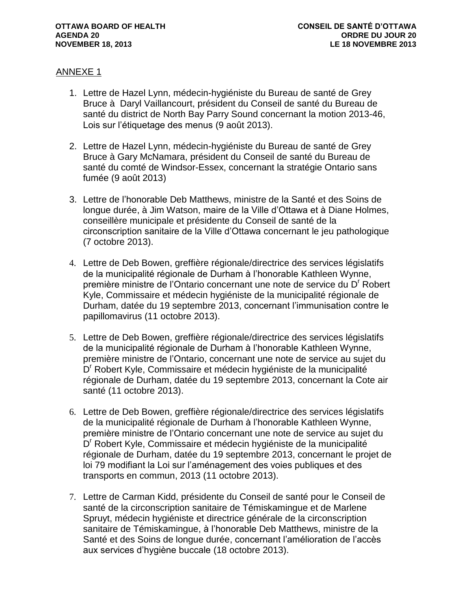### ANNEXE 1

- 1. Lettre de Hazel Lynn, médecin-hygiéniste du Bureau de santé de Grey Bruce à Daryl Vaillancourt, président du Conseil de santé du Bureau de santé du district de North Bay Parry Sound concernant la motion 2013-46, Lois sur l'étiquetage des menus (9 août 2013).
- 2. Lettre de Hazel Lynn, médecin-hygiéniste du Bureau de santé de Grey Bruce à Gary McNamara, président du Conseil de santé du Bureau de santé du comté de Windsor-Essex, concernant la stratégie Ontario sans fumée (9 août 2013)
- 3. Lettre de l'honorable Deb Matthews, ministre de la Santé et des Soins de longue durée, à Jim Watson, maire de la Ville d'Ottawa et à Diane Holmes, conseillère municipale et présidente du Conseil de santé de la circonscription sanitaire de la Ville d'Ottawa concernant le jeu pathologique (7 octobre 2013).
- 4. Lettre de Deb Bowen, greffière régionale/directrice des services législatifs de la municipalité régionale de Durham à l'honorable Kathleen Wynne, première ministre de l'Ontario concernant une note de service du D<sup>r</sup> Robert Kyle, Commissaire et médecin hygiéniste de la municipalité régionale de Durham, datée du 19 septembre 2013, concernant l'immunisation contre le papillomavirus (11 octobre 2013).
- 5. Lettre de Deb Bowen, greffière régionale/directrice des services législatifs de la municipalité régionale de Durham à l'honorable Kathleen Wynne, première ministre de l'Ontario, concernant une note de service au sujet du .<br>D<sup>r</sup> Robert Kyle, Commissaire et médecin hygiéniste de la municipalité régionale de Durham, datée du 19 septembre 2013, concernant la Cote air santé (11 octobre 2013).
- 6. Lettre de Deb Bowen, greffière régionale/directrice des services législatifs de la municipalité régionale de Durham à l'honorable Kathleen Wynne, première ministre de l'Ontario concernant une note de service au sujet du .<br>D<sup>r</sup> Robert Kyle, Commissaire et médecin hygiéniste de la municipalité régionale de Durham, datée du 19 septembre 2013, concernant le projet de loi 79 modifiant la Loi sur l'aménagement des voies publiques et des transports en commun, 2013 (11 octobre 2013).
- 7. Lettre de Carman Kidd, présidente du Conseil de santé pour le Conseil de santé de la circonscription sanitaire de Témiskamingue et de Marlene Spruyt, médecin hygiéniste et directrice générale de la circonscription sanitaire de Témiskamingue, à l'honorable Deb Matthews, ministre de la Santé et des Soins de longue durée, concernant l'amélioration de l'accès aux services d'hygiène buccale (18 octobre 2013).